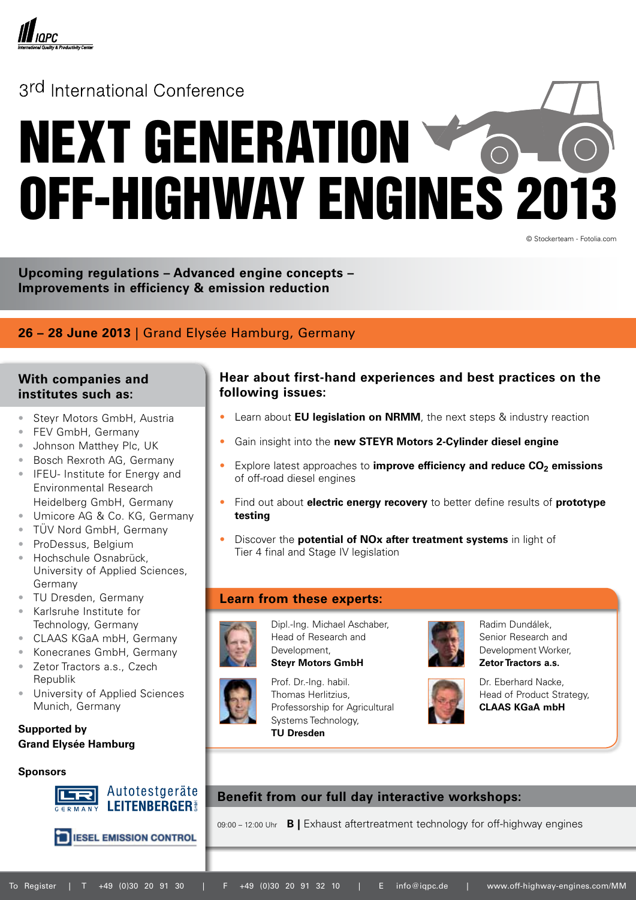

## 3rd International Conference

# NEXT GENERATION OFF-HIGHWAY ENGINES 2013

© Stockerteam - Fotolia.com

**Upcoming regulations – Advanced engine concepts – Improvements in efficiency & emission reduction**

## **26 – 28 June 2013** | Grand Elysée Hamburg, Germany

## **With companies and institutes such as:**

- Steyr Motors GmbH, Austria
- FEV GmbH, Germany
- Johnson Matthey Plc, UK
- Bosch Rexroth AG, Germany
- IFEU- Institute for Energy and Environmental Research Heidelberg GmbH, Germany
- Umicore AG & Co. KG, Germany
- • TÜV Nord GmbH, Germany
- ProDessus, Belgium
- Hochschule Osnabrück. University of Applied Sciences, Germany
- • TU Dresden, Germany
- • Karlsruhe Institute for Technology, Germany
- CLAAS KGaA mbH, Germany
- • Konecranes GmbH, Germany Zetor Tractors a.s., Czech
- Republik
- University of Applied Sciences Munich, Germany

### **Supported by Grand Elysée Hamburg**

#### **Sponsors**



**ED IESEL EMISSION CONTROL** 

### **Hear about first-hand experiences and best practices on the following issues:**

- Learn about **EU legislation on NRMM**, the next steps & industry reaction
- Gain insight into the new STEYR Motors 2-Cylinder diesel engine
- Explore latest approaches to **improve efficiency and reduce CO<sub>2</sub> emissions** of off-road diesel engines
- Find out about **electric energy recovery** to better define results of **prototype testing**
- Discover the **potential of NOx after treatment systems** in light of Tier 4 final and Stage IV legislation

### **Learn from these experts:**



Dipl.-Ing. Michael Aschaber, Head of Research and Development,

**Steyr Motors GmbH**

Prof. Dr.-Ing. habil. Thomas Herlitzius, Professorship for Agricultural Systems Technology, **TU Dresden**



Radim Dundálek, Senior Research and Development Worker, **Zetor Tractors a.s.**



Dr. Eberhard Nacke, Head of Product Strategy, **CLAAS KGaA mbH**

## **Benefit from our full day interactive workshops:**

09:00 – 12:00 Uhr **B |** Exhaust aftertreatment technology for off-highway engines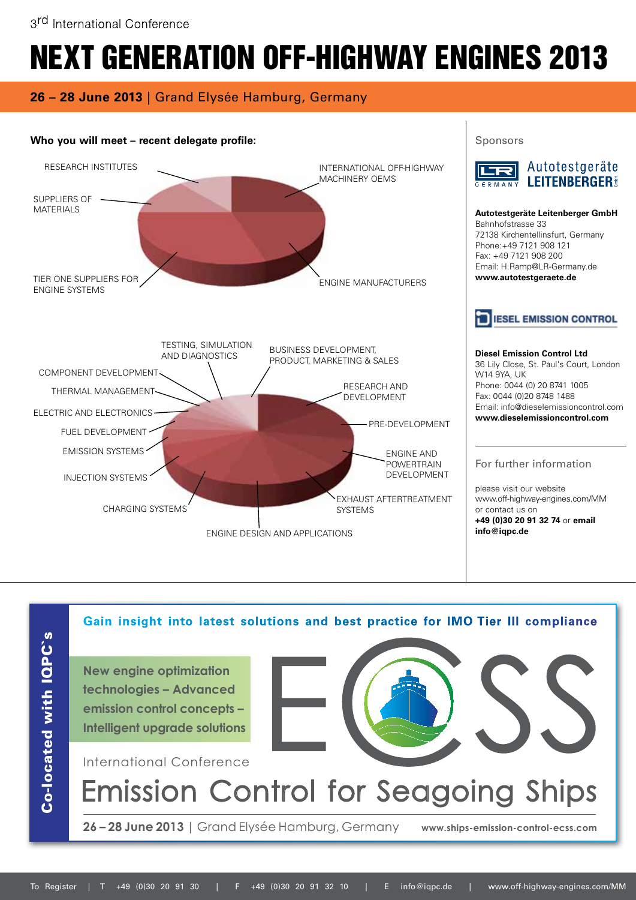## **26 – 28 June 2013** | Grand Elysée Hamburg, Germany



Co-located with IQPC's Co-located with IQPC`s

International Conference **26 – 28 June 2013** | Grand Elysée Hamburg, Germany **www.ships-emission-control-ecss.com Gain insight into latest solutions and best practice for IMO Tier III compliance** Emission Control for Seagoing Ships **New engine optimization technologies – Advanced emission control concepts – Intelligent upgrade solutions**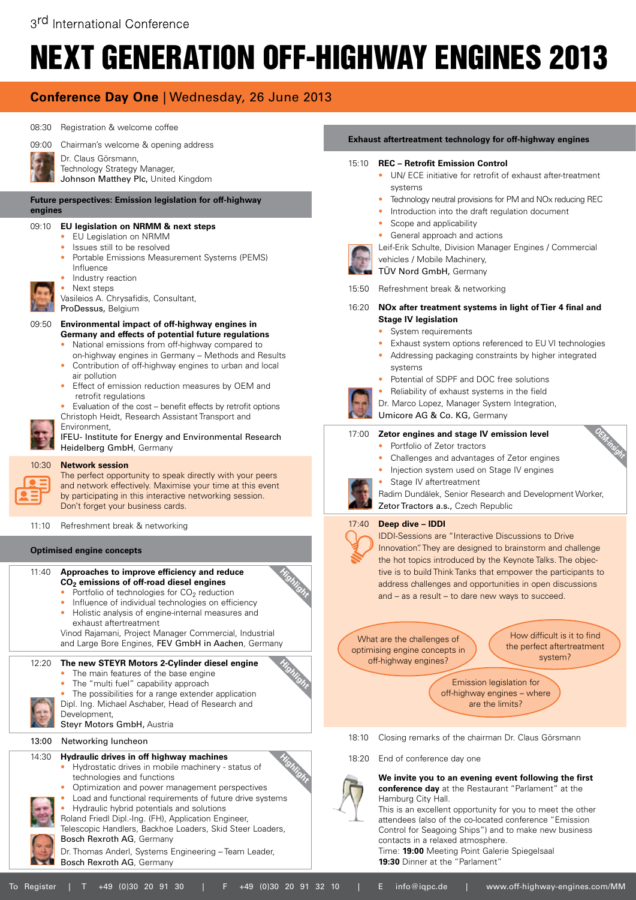## **Conference Day One** | Wednesday, 26 June 2013





Dr. Claus Görsmann,

- Technology Strategy Manager,
- Johnson Matthey Plc, United Kingdom

#### **Future perspectives: Emission legislation for off-highway engines**

#### 09:10 **EU legislation on NRMM & next steps**

- EU Legislation on NRMM
- Issues still to be resolved
- Portable Emissions Measurement Systems (PEMS) Influence
- Industry reaction
	- Next steps
	- Vasileios A. Chrysafidis, Consultant,

ProDessus, Belgium

## 09:50 **Environmental impact of off-highway engines in**

- **Germany and effects of potential future regulations**
- National emissions from off-highway compared to on-highway engines in Germany – Methods and Results
- Contribution of off-highway engines to urban and local air pollution
- Effect of emission reduction measures by OEM and retrofit regulations
- Evaluation of the cost benefit effects by retrofit options Christoph Heidt, Research Assistant Transport and



Environment, IFEU- Institute for Energy and Environmental Research Heidelberg GmbH, Germany

## 10:30 **Network session**

The perfect opportunity to speak directly with your peers and network effectively. Maximise your time at this event by participating in this interactive networking session. Don't forget your business cards.

11:10 Refreshment break & networking

#### **Optimised engine concepts**

- 11:40 **Approaches to improve efficiency and reduce CO2 emissions of off-road diesel engines** Portfolio of technologies for  $CO<sub>2</sub>$  reduction
	- Influence of individual technologies on efficiency
	- Holistic analysis of engine-internal measures and exhaust aftertreatment
	- Vinod Rajamani, Project Manager Commercial, Industrial and Large Bore Engines, FEV GmbH in Aachen, Germany

### 12:20 **The new STEYR Motors 2-Cylinder diesel engine**

- The main features of the base engine
- The "multi fuel" capability approach
- The possibilities for a range extender application Dipl. Ing. Michael Aschaber, Head of Research and



Steyr Motors GmbH, Austria

13:00 Networking luncheon

#### 14:30 **Hydraulic drives in off highway machines**  • Hydrostatic drives in mobile machinery - status of

- technologies and functions • Optimization and power management perspectives
- Load and functional requirements of future drive systems
- Hydraulic hybrid potentials and solutions Roland Friedl Dipl.-Ing. (FH), Application Engineer,
- Telescopic Handlers, Backhoe Loaders, Skid Steer Loaders,



Dr. Thomas Anderl, Systems Engineering – Team Leader, Bosch Rexroth AG, Germany

#### **Exhaust aftertreatment technology for off-highway engines**

#### 15:10 **REC – Retrofit Emission Control**

- UN/ ECE initiative for retrofit of exhaust after-treatment systems
- Technology neutral provisions for PM and NOx reducing REC
- Introduction into the draft regulation document
- Scope and applicability
- General approach and actions
- Leif-Erik Schulte, Division Manager Engines / Commercial

vehicles / Mobile Machinery,

TÜV Nord GmbH, Germany

15:50 Refreshment break & networking

#### 16:20 **NOx after treatment systems in light of Tier 4 final and Stage IV legislation**

- System requirements
- Exhaust system options referenced to EU VI technologies
- Addressing packaging constraints by higher integrated systems
- Potential of SDPF and DOC free solutions
- Reliability of exhaust systems in the field
- Dr. Marco Lopez, Manager System Integration,
- Umicore AG & Co. KG, Germany

#### 17:00 **Zetor engines and stage IV emission level**



- 
- Challenges and advantages of Zetor engines
- Injection system used on Stage IV engines
- Stage IV aftertreatment



#### 17:40 **Deep dive – IDDI**



IDDI-Sessions are "Interactive Discussions to Drive Innovation". They are designed to brainstorm and challenge the hot topics introduced by the Keynote Talks. The objective is to build Think Tanks that empower the participants to address challenges and opportunities in open discussions and – as a result – to dare new ways to succeed.

What are the challenges of optimising engine concepts in off-highway engines?

How difficult is it to find the perfect aftertreatment system?

**OEM-insight**

Emission legislation for off-highway engines – where are the limits?

- 18:10 Closing remarks of the chairman Dr. Claus Görsmann
- 18:20 End of conference day one



**We invite you to an evening event following the first conference day** at the Restaurant "Parlament" at the Hamburg City Hall.

This is an excellent opportunity for you to meet the other attendees (also of the co-located conference "Emission Control for Seagoing Ships") and to make new business contacts in a relaxed atmosphere.

Time: **19:00** Meeting Point Galerie Spiegelsaal **19:30** Dinner at the "Parlament"





**Highlight**

**Highlight**

**Highlight**

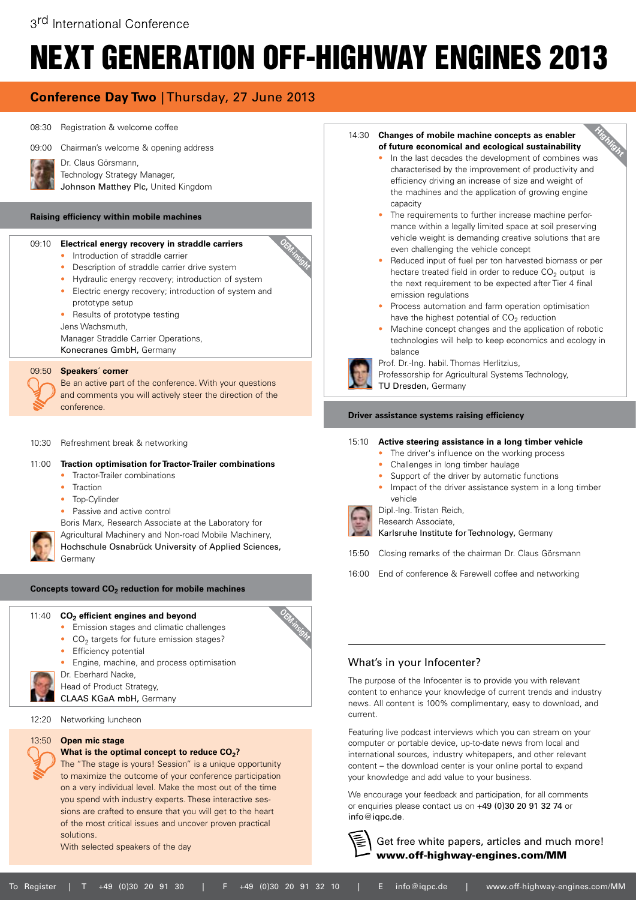**OEM-insight**

## **Conference Day Two** | Thursday, 27 June 2013

#### 08:30 Registration & welcome coffee

Dr. Claus Görsmann,

09:00 Chairman's welcome & opening address



Technology Strategy Manager,

#### Johnson Matthey Plc, United Kingdom

#### **Raising efficiency within mobile machines**

#### 09:10 **Electrical energy recovery in straddle carriers**

- Introduction of straddle carrier
- Description of straddle carrier drive system
- Hydraulic energy recovery; introduction of system
- Electric energy recovery; introduction of system and
- prototype setup
- Results of prototype testing

Jens Wachsmuth,

Manager Straddle Carrier Operations,

Konecranes GmbH, Germany

#### 09:50 **Speakers´ corner**

 Be an active part of the conference. With your questions and comments you will actively steer the direction of the conference.

10:30 Refreshment break & networking

#### 11:00 **Traction optimisation for Tractor-Trailer combinations**

- Tractor-Trailer combinations
- **Traction**
- Top-Cylinder
- Passive and active control

Boris Marx, Research Associate at the Laboratory for

Agricultural Machinery and Non-road Mobile Machinery, Hochschule Osnabrück University of Applied Sciences,

Germany

#### Concepts toward CO<sub>2</sub> reduction for mobile machines

#### 11:40 **CO<sub>2</sub>** efficient engines and beyond

- Emission stages and climatic challenges
- $\bullet$  CO<sub>2</sub> targets for future emission stages?
- Efficiency potential
- Engine, machine, and process optimisation
- Dr. Eberhard Nacke,

Head of Product Strategy,

CLAAS KGaA mbH, Germany

12:20 Networking luncheon

#### 13:50 **Open mic stage**

**What is the optimal concept to reduce CO<sub>2</sub>?** 

The "The stage is yours! Session" is a unique opportunity to maximize the outcome of your conference participation on a very individual level. Make the most out of the time you spend with industry experts. These interactive sessions are crafted to ensure that you will get to the heart of the most critical issues and uncover proven practical solutions.

With selected speakers of the day

#### 14:30 **Changes of mobile machine concepts as enabler of future economical and ecological sustainability**

- **Highlight** • In the last decades the development of combines was characterised by the improvement of productivity and efficiency driving an increase of size and weight of the machines and the application of growing engine capacity
- The requirements to further increase machine performance within a legally limited space at soil preserving vehicle weight is demanding creative solutions that are even challenging the vehicle concept
- Reduced input of fuel per ton harvested biomass or per hectare treated field in order to reduce  $CO<sub>2</sub>$  output is the next requirement to be expected after Tier 4 final emission regulations
- Process automation and farm operation optimisation have the highest potential of  $CO<sub>2</sub>$  reduction
- Machine concept changes and the application of robotic technologies will help to keep economics and ecology in balance
- Prof. Dr.-Ing. habil. Thomas Herlitzius,
- Professorship for Agricultural Systems Technology,

TU Dresden, Germany

#### **Driver assistance systems raising efficiency**

#### 15:10 **Active steering assistance in a long timber vehicle**

- The driver's influence on the working process
- Challenges in long timber haulage
- Support of the driver by automatic functions
- Impact of the driver assistance system in a long timber vehicle



Dipl.-Ing. Tristan Reich,

Research Associate, Karlsruhe Institute for Technology, Germany

- 15:50 Closing remarks of the chairman Dr. Claus Görsmann
- 16:00 End of conference & Farewell coffee and networking

#### What's in your Infocenter?

The purpose of the Infocenter is to provide you with relevant content to enhance your knowledge of current trends and industry news. All content is 100% complimentary, easy to download, and current.

Featuring live podcast interviews which you can stream on your computer or portable device, up-to-date news from local and international sources, industry whitepapers, and other relevant content – the download center is your online portal to expand your knowledge and add value to your business.

We encourage your feedback and participation, for all comments or enquiries please contact us on +49 (0)30 20 91 32 74 or info@iqpc.de.

 Get free white papers, articles and much more! www.off-highway-engines.com/MM

**OEM-insight**

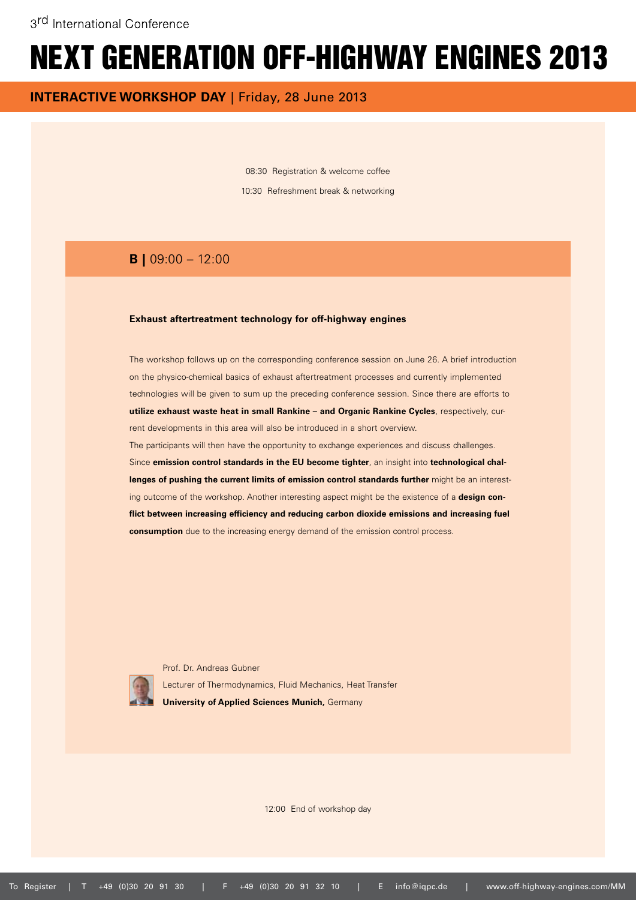**INTERACTIVE WORKSHOP DAY** | Friday, 28 June 2013

08:30 Registration & welcome coffee 10:30 Refreshment break & networking

## **B |** 09:00 – 12:00

#### **Exhaust aftertreatment technology for off-highway engines**

The workshop follows up on the corresponding conference session on June 26. A brief introduction on the physico-chemical basics of exhaust aftertreatment processes and currently implemented technologies will be given to sum up the preceding conference session. Since there are efforts to **utilize exhaust waste heat in small Rankine – and Organic Rankine Cycles**, respectively, current developments in this area will also be introduced in a short overview. The participants will then have the opportunity to exchange experiences and discuss challenges. Since **emission control standards in the EU become tighter**, an insight into **technological challenges of pushing the current limits of emission control standards further** might be an interesting outcome of the workshop. Another interesting aspect might be the existence of a **design conflict between increasing efficiency and reducing carbon dioxide emissions and increasing fuel** 

**consumption** due to the increasing energy demand of the emission control process.



 Prof. Dr. Andreas Gubner Lecturer of Thermodynamics, Fluid Mechanics, Heat Transfer **University of Applied Sciences Munich,** Germany

12:00 End of workshop day